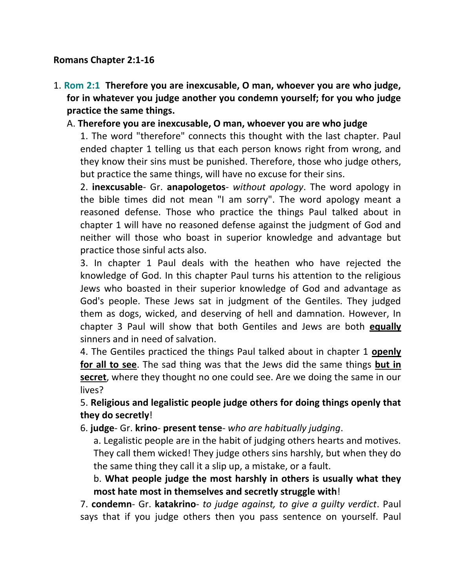#### **Romans Chapter 2:1-16**

1. **Rom 2:1 Therefore you are inexcusable, O man, whoever you are who judge, for in whatever you judge another you condemn yourself; for you who judge practice the same things.** 

### A. **Therefore you are inexcusable, O man, whoever you are who judge**

1. The word "therefore" connects this thought with the last chapter. Paul ended chapter 1 telling us that each person knows right from wrong, and they know their sins must be punished. Therefore, those who judge others, but practice the same things, will have no excuse for their sins.

2. **inexcusable**- Gr. **anapologetos**- *without apology*. The word apology in the bible times did not mean "I am sorry". The word apology meant a reasoned defense. Those who practice the things Paul talked about in chapter 1 will have no reasoned defense against the judgment of God and neither will those who boast in superior knowledge and advantage but practice those sinful acts also.

3. In chapter 1 Paul deals with the heathen who have rejected the knowledge of God. In this chapter Paul turns his attention to the religious Jews who boasted in their superior knowledge of God and advantage as God's people. These Jews sat in judgment of the Gentiles. They judged them as dogs, wicked, and deserving of hell and damnation. However, In chapter 3 Paul will show that both Gentiles and Jews are both **equally** sinners and in need of salvation.

4. The Gentiles practiced the things Paul talked about in chapter 1 **openly for all to see**. The sad thing was that the Jews did the same things **but in secret**, where they thought no one could see. Are we doing the same in our lives?

## 5. **Religious and legalistic people judge others for doing things openly that they do secretly**!

#### 6. **judge**- Gr. **krino**- **present tense**- *who are habitually judging*.

a. Legalistic people are in the habit of judging others hearts and motives. They call them wicked! They judge others sins harshly, but when they do the same thing they call it a slip up, a mistake, or a fault.

b. **What people judge the most harshly in others is usually what they most hate most in themselves and secretly struggle with**!

7. **condemn**- Gr. **katakrino**- *to judge against, to give a guilty verdict*. Paul says that if you judge others then you pass sentence on yourself. Paul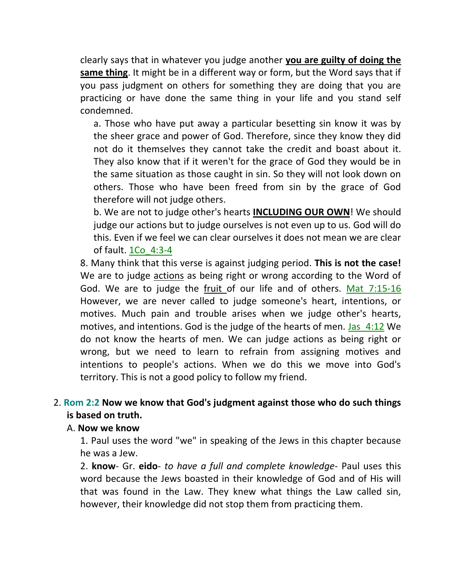clearly says that in whatever you judge another **you are guilty of doing the same thing**. It might be in a different way or form, but the Word says that if you pass judgment on others for something they are doing that you are practicing or have done the same thing in your life and you stand self condemned.

a. Those who have put away a particular besetting sin know it was by the sheer grace and power of God. Therefore, since they know they did not do it themselves they cannot take the credit and boast about it. They also know that if it weren't for the grace of God they would be in the same situation as those caught in sin. So they will not look down on others. Those who have been freed from sin by the grace of God therefore will not judge others.

b. We are not to judge other's hearts **INCLUDING OUR OWN**! We should judge our actions but to judge ourselves is not even up to us. God will do this. Even if we feel we can clear ourselves it does not mean we are clear of fault. 1Co\_4:3-4

8. Many think that this verse is against judging period. **This is not the case!** We are to judge actions as being right or wrong according to the Word of God. We are to judge the fruit of our life and of others. Mat\_7:15-16 However, we are never called to judge someone's heart, intentions, or motives. Much pain and trouble arises when we judge other's hearts, motives, and intentions. God is the judge of the hearts of men. Jas 4:12 We do not know the hearts of men. We can judge actions as being right or wrong, but we need to learn to refrain from assigning motives and intentions to people's actions. When we do this we move into God's territory. This is not a good policy to follow my friend.

### 2. **Rom 2:2 Now we know that God's judgment against those who do such things is based on truth.**

#### A. **Now we know**

1. Paul uses the word "we" in speaking of the Jews in this chapter because he was a Jew.

2. **know**- Gr. **eido**- *to have a full and complete knowledge*- Paul uses this word because the Jews boasted in their knowledge of God and of His will that was found in the Law. They knew what things the Law called sin, however, their knowledge did not stop them from practicing them.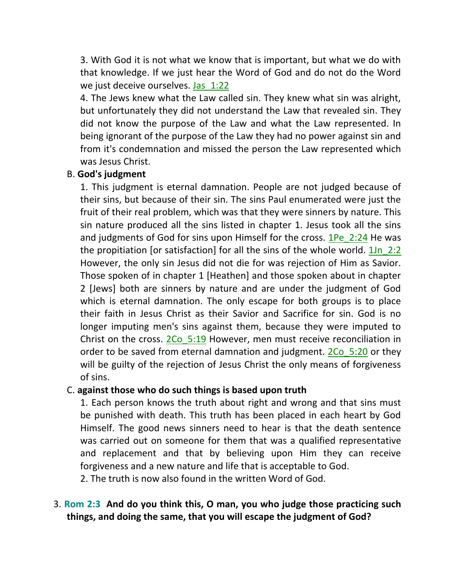3. With God it is not what we know that is important, but what we do with that knowledge. If we just hear the Word of God and do not do the Word we just deceive ourselves. Jas 1:22

4. The Jews knew what the Law called sin. They knew what sin was alright, but unfortunately they did not understand the Law that revealed sin. They did not know the purpose of the Law and what the Law represented. In being ignorant of the purpose of the Law they had no power against sin and from it's condemnation and missed the person the Law represented which was Jesus Christ.

#### B. **God's judgment**

1. This judgment is eternal damnation. People are not judged because of their sins, but because of their sin. The sins Paul enumerated were just the fruit of their real problem, which was that they were sinners by nature. This sin nature produced all the sins listed in chapter 1. Jesus took all the sins and judgments of God for sins upon Himself for the cross. 1Pe 2:24 He was the propitiation [or satisfaction] for all the sins of the whole world.  $1\ln 2:2$ However, the only sin Jesus did not die for was rejection of Him as Savior. Those spoken of in chapter 1 [Heathen] and those spoken about in chapter 2 [Jews] both are sinners by nature and are under the judgment of God which is eternal damnation. The only escape for both groups is to place their faith in Jesus Christ as their Savior and Sacrifice for sin. God is no longer imputing men's sins against them, because they were imputed to Christ on the cross. 2Co 5:19 However, men must receive reconciliation in order to be saved from eternal damnation and judgment. 2Co 5:20 or they will be guilty of the rejection of Jesus Christ the only means of forgiveness of sins.

#### C. **against those who do such things is based upon truth**

1. Each person knows the truth about right and wrong and that sins must be punished with death. This truth has been placed in each heart by God Himself. The good news sinners need to hear is that the death sentence was carried out on someone for them that was a qualified representative and replacement and that by believing upon Him they can receive forgiveness and a new nature and life that is acceptable to God.

2. The truth is now also found in the written Word of God.

### 3. **Rom 2:3 And do you think this, O man, you who judge those practicing such things, and doing the same, that you will escape the judgment of God?**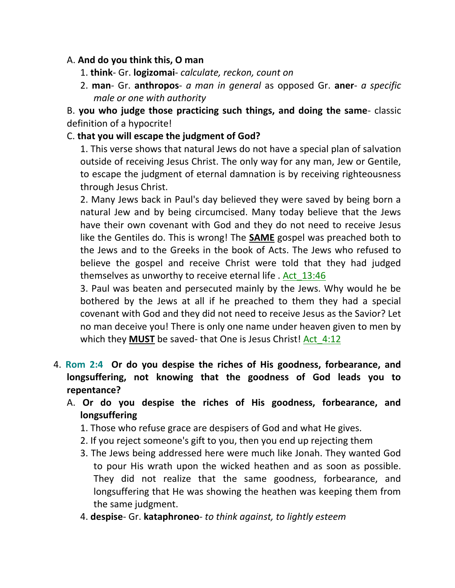### A. **And do you think this, O man**

- 1. **think** Gr. **logizomai** *calculate, reckon, count on*
- 2. **man** Gr. **anthropos** *a man in general* as opposed Gr. **aner** *a specific male or one with authority*

B. **you who judge those practicing such things, and doing the same**- classic definition of a hypocrite!

#### C. **that you will escape the judgment of God?**

1. This verse shows that natural Jews do not have a special plan of salvation outside of receiving Jesus Christ. The only way for any man, Jew or Gentile, to escape the judgment of eternal damnation is by receiving righteousness through Jesus Christ.

2. Many Jews back in Paul's day believed they were saved by being born a natural Jew and by being circumcised. Many today believe that the Jews have their own covenant with God and they do not need to receive Jesus like the Gentiles do. This is wrong! The **SAME** gospel was preached both to the Jews and to the Greeks in the book of Acts. The Jews who refused to believe the gospel and receive Christ were told that they had judged themselves as unworthy to receive eternal life . Act\_13:46

3. Paul was beaten and persecuted mainly by the Jews. Why would he be bothered by the Jews at all if he preached to them they had a special covenant with God and they did not need to receive Jesus as the Savior? Let no man deceive you! There is only one name under heaven given to men by which they **MUST** be saved- that One is Jesus Christ! Act 4:12

- 4. **Rom 2:4 Or do you despise the riches of His goodness, forbearance, and longsuffering, not knowing that the goodness of God leads you to repentance?** 
	- A. **Or do you despise the riches of His goodness, forbearance, and longsuffering**
		- 1. Those who refuse grace are despisers of God and what He gives.
		- 2. If you reject someone's gift to you, then you end up rejecting them
		- 3. The Jews being addressed here were much like Jonah. They wanted God to pour His wrath upon the wicked heathen and as soon as possible. They did not realize that the same goodness, forbearance, and longsuffering that He was showing the heathen was keeping them from the same judgment.
		- 4. **despise** Gr. **kataphroneo** *to think against, to lightly esteem*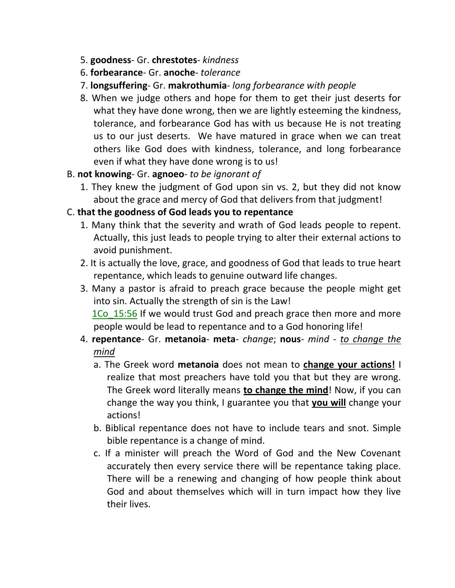- 5. **goodness** Gr. **chrestotes** *kindness*
- 6. **forbearance** Gr. **anoche** *tolerance*
- 7. **longsuffering** Gr. **makrothumia** *long forbearance with people*
- 8. When we judge others and hope for them to get their just deserts for what they have done wrong, then we are lightly esteeming the kindness, tolerance, and forbearance God has with us because He is not treating us to our just deserts. We have matured in grace when we can treat others like God does with kindness, tolerance, and long forbearance even if what they have done wrong is to us!

### B. **not knowing**- Gr. **agnoeo**- *to be ignorant of*

1. They knew the judgment of God upon sin vs. 2, but they did not know about the grace and mercy of God that delivers from that judgment!

### C. **that the goodness of God leads you to repentance**

- 1. Many think that the severity and wrath of God leads people to repent. Actually, this just leads to people trying to alter their external actions to avoid punishment.
- 2. It is actually the love, grace, and goodness of God that leads to true heart repentance, which leads to genuine outward life changes.
- 3. Many a pastor is afraid to preach grace because the people might get into sin. Actually the strength of sin is the Law! 1Co 15:56 If we would trust God and preach grace then more and more people would be lead to repentance and to a God honoring life!
- 4. **repentance** Gr. **metanoia meta** *change*; **nous** *mind to change the mind*
	- a. The Greek word **metanoia** does not mean to **change your actions!** I realize that most preachers have told you that but they are wrong. The Greek word literally means **to change the mind**! Now, if you can change the way you think, I guarantee you that **you will** change your actions!
	- b. Biblical repentance does not have to include tears and snot. Simple bible repentance is a change of mind.
	- c. If a minister will preach the Word of God and the New Covenant accurately then every service there will be repentance taking place. There will be a renewing and changing of how people think about God and about themselves which will in turn impact how they live their lives.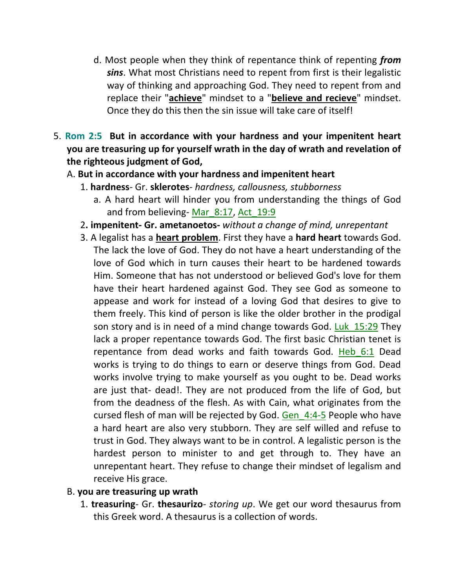- d. Most people when they think of repentance think of repenting *from sins*. What most Christians need to repent from first is their legalistic way of thinking and approaching God. They need to repent from and replace their "**achieve**" mindset to a "**believe and recieve**" mindset. Once they do this then the sin issue will take care of itself!
- 5. **Rom 2:5 But in accordance with your hardness and your impenitent heart you are treasuring up for yourself wrath in the day of wrath and revelation of the righteous judgment of God,**

### A. **But in accordance with your hardness and impenitent heart**

- 1. **hardness** Gr. **sklerotes** *hardness, callousness, stubborness*
	- a. A hard heart will hinder you from understanding the things of God and from believing- Mar 8:17, Act 19:9
- 2**. impenitent- Gr. ametanoetos-** *without a change of mind, unrepentant*
- 3. A legalist has a **heart problem**. First they have a **hard heart** towards God. The lack the love of God. They do not have a heart understanding of the love of God which in turn causes their heart to be hardened towards Him. Someone that has not understood or believed God's love for them have their heart hardened against God. They see God as someone to appease and work for instead of a loving God that desires to give to them freely. This kind of person is like the older brother in the prodigal son story and is in need of a mind change towards God. Luk 15:29 They lack a proper repentance towards God. The first basic Christian tenet is repentance from dead works and faith towards God. Heb\_6:1 Dead works is trying to do things to earn or deserve things from God. Dead works involve trying to make yourself as you ought to be. Dead works are just that- dead!. They are not produced from the life of God, but from the deadness of the flesh. As with Cain, what originates from the cursed flesh of man will be rejected by God. Gen  $4:4-5$  People who have a hard heart are also very stubborn. They are self willed and refuse to trust in God. They always want to be in control. A legalistic person is the hardest person to minister to and get through to. They have an unrepentant heart. They refuse to change their mindset of legalism and receive His grace.

#### B. **you are treasuring up wrath**

1. **treasuring**- Gr. **thesaurizo**- *storing up*. We get our word thesaurus from this Greek word. A thesaurus is a collection of words.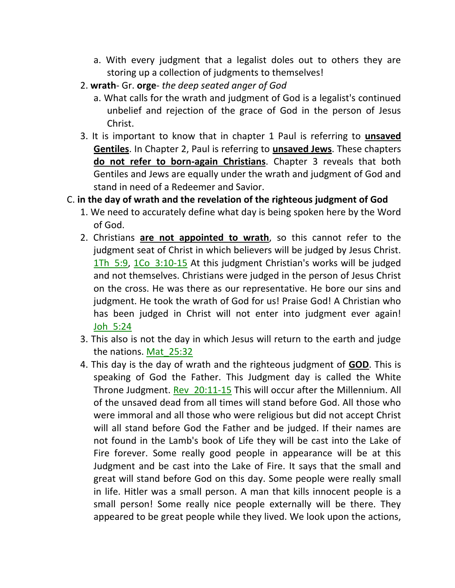- a. With every judgment that a legalist doles out to others they are storing up a collection of judgments to themselves!
- 2. **wrath** Gr. **orge** *the deep seated anger of God*
	- a. What calls for the wrath and judgment of God is a legalist's continued unbelief and rejection of the grace of God in the person of Jesus Christ.
- 3. It is important to know that in chapter 1 Paul is referring to **unsaved Gentiles**. In Chapter 2, Paul is referring to **unsaved Jews**. These chapters **do not refer to born-again Christians**. Chapter 3 reveals that both Gentiles and Jews are equally under the wrath and judgment of God and stand in need of a Redeemer and Savior.

#### C. **in the day of wrath and the revelation of the righteous judgment of God**

- 1. We need to accurately define what day is being spoken here by the Word of God.
- 2. Christians **are not appointed to wrath**, so this cannot refer to the judgment seat of Christ in which believers will be judged by Jesus Christ. 1Th\_5:9, 1Co\_3:10-15 At this judgment Christian's works will be judged and not themselves. Christians were judged in the person of Jesus Christ on the cross. He was there as our representative. He bore our sins and judgment. He took the wrath of God for us! Praise God! A Christian who has been judged in Christ will not enter into judgment ever again! Joh\_5:24
- 3. This also is not the day in which Jesus will return to the earth and judge the nations. Mat\_25:32
- 4. This day is the day of wrath and the righteous judgment of **GOD**. This is speaking of God the Father. This Judgment day is called the White Throne Judgment. Rev 20:11-15 This will occur after the Millennium. All of the unsaved dead from all times will stand before God. All those who were immoral and all those who were religious but did not accept Christ will all stand before God the Father and be judged. If their names are not found in the Lamb's book of Life they will be cast into the Lake of Fire forever. Some really good people in appearance will be at this Judgment and be cast into the Lake of Fire. It says that the small and great will stand before God on this day. Some people were really small in life. Hitler was a small person. A man that kills innocent people is a small person! Some really nice people externally will be there. They appeared to be great people while they lived. We look upon the actions,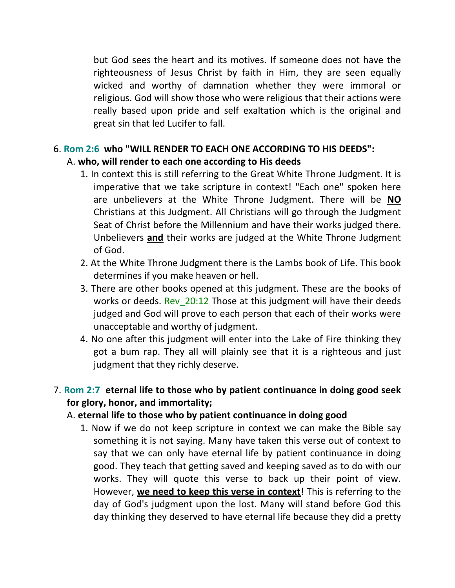but God sees the heart and its motives. If someone does not have the righteousness of Jesus Christ by faith in Him, they are seen equally wicked and worthy of damnation whether they were immoral or religious. God will show those who were religious that their actions were really based upon pride and self exaltation which is the original and great sin that led Lucifer to fall.

### 6. **Rom 2:6 who "WILL RENDER TO EACH ONE ACCORDING TO HIS DEEDS":**

## A. **who, will render to each one according to His deeds**

- 1. In context this is still referring to the Great White Throne Judgment. It is imperative that we take scripture in context! "Each one" spoken here are unbelievers at the White Throne Judgment. There will be **NO** Christians at this Judgment. All Christians will go through the Judgment Seat of Christ before the Millennium and have their works judged there. Unbelievers **and** their works are judged at the White Throne Judgment of God.
- 2. At the White Throne Judgment there is the Lambs book of Life. This book determines if you make heaven or hell.
- 3. There are other books opened at this judgment. These are the books of works or deeds. Rev 20:12 Those at this judgment will have their deeds judged and God will prove to each person that each of their works were unacceptable and worthy of judgment.
- 4. No one after this judgment will enter into the Lake of Fire thinking they got a bum rap. They all will plainly see that it is a righteous and just judgment that they richly deserve.

# 7. **Rom 2:7 eternal life to those who by patient continuance in doing good seek for glory, honor, and immortality;**

### A. **eternal life to those who by patient continuance in doing good**

1. Now if we do not keep scripture in context we can make the Bible say something it is not saying. Many have taken this verse out of context to say that we can only have eternal life by patient continuance in doing good. They teach that getting saved and keeping saved as to do with our works. They will quote this verse to back up their point of view. However, **we need to keep this verse in context**! This is referring to the day of God's judgment upon the lost. Many will stand before God this day thinking they deserved to have eternal life because they did a pretty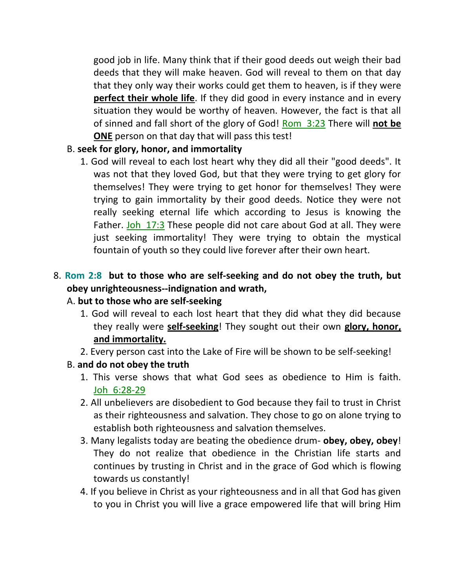good job in life. Many think that if their good deeds out weigh their bad deeds that they will make heaven. God will reveal to them on that day that they only way their works could get them to heaven, is if they were **perfect their whole life**. If they did good in every instance and in every situation they would be worthy of heaven. However, the fact is that all of sinned and fall short of the glory of God! Rom\_3:23 There will **not be ONE** person on that day that will pass this test!

### B. **seek for glory, honor, and immortality**

1. God will reveal to each lost heart why they did all their "good deeds". It was not that they loved God, but that they were trying to get glory for themselves! They were trying to get honor for themselves! They were trying to gain immortality by their good deeds. Notice they were not really seeking eternal life which according to Jesus is knowing the Father. Joh 17:3 These people did not care about God at all. They were just seeking immortality! They were trying to obtain the mystical fountain of youth so they could live forever after their own heart.

# 8. **Rom 2:8 but to those who are self-seeking and do not obey the truth, but obey unrighteousness--indignation and wrath,**

#### A. **but to those who are self-seeking**

- 1. God will reveal to each lost heart that they did what they did because they really were **self-seeking**! They sought out their own **glory, honor, and immortality.**
- 2. Every person cast into the Lake of Fire will be shown to be self-seeking!

#### B. **and do not obey the truth**

- 1. This verse shows that what God sees as obedience to Him is faith. Joh\_6:28-29
- 2. All unbelievers are disobedient to God because they fail to trust in Christ as their righteousness and salvation. They chose to go on alone trying to establish both righteousness and salvation themselves.
- 3. Many legalists today are beating the obedience drum- **obey, obey, obey**! They do not realize that obedience in the Christian life starts and continues by trusting in Christ and in the grace of God which is flowing towards us constantly!
- 4. If you believe in Christ as your righteousness and in all that God has given to you in Christ you will live a grace empowered life that will bring Him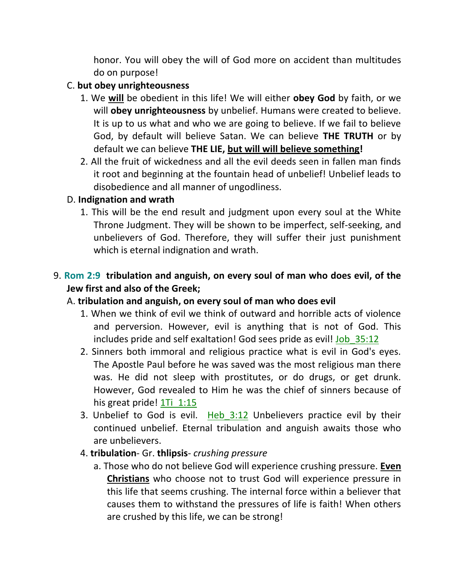honor. You will obey the will of God more on accident than multitudes do on purpose!

#### C. **but obey unrighteousness**

- 1. We **will** be obedient in this life! We will either **obey God** by faith, or we will **obey unrighteousness** by unbelief. Humans were created to believe. It is up to us what and who we are going to believe. If we fail to believe God, by default will believe Satan. We can believe **THE TRUTH** or by default we can believe **THE LIE, but will will believe something!**
- 2. All the fruit of wickedness and all the evil deeds seen in fallen man finds it root and beginning at the fountain head of unbelief! Unbelief leads to disobedience and all manner of ungodliness.

### D. **Indignation and wrath**

1. This will be the end result and judgment upon every soul at the White Throne Judgment. They will be shown to be imperfect, self-seeking, and unbelievers of God. Therefore, they will suffer their just punishment which is eternal indignation and wrath.

# 9. **Rom 2:9 tribulation and anguish, on every soul of man who does evil, of the Jew first and also of the Greek;**

### A. **tribulation and anguish, on every soul of man who does evil**

- 1. When we think of evil we think of outward and horrible acts of violence and perversion. However, evil is anything that is not of God. This includes pride and self exaltation! God sees pride as evil! Job 35:12
- 2. Sinners both immoral and religious practice what is evil in God's eyes. The Apostle Paul before he was saved was the most religious man there was. He did not sleep with prostitutes, or do drugs, or get drunk. However, God revealed to Him he was the chief of sinners because of his great pride! 1Ti 1:15
- 3. Unbelief to God is evil. Heb  $3:12$  Unbelievers practice evil by their continued unbelief. Eternal tribulation and anguish awaits those who are unbelievers.
- 4. **tribulation** Gr. **thlipsis** *crushing pressure*
	- a. Those who do not believe God will experience crushing pressure. **Even Christians** who choose not to trust God will experience pressure in this life that seems crushing. The internal force within a believer that causes them to withstand the pressures of life is faith! When others are crushed by this life, we can be strong!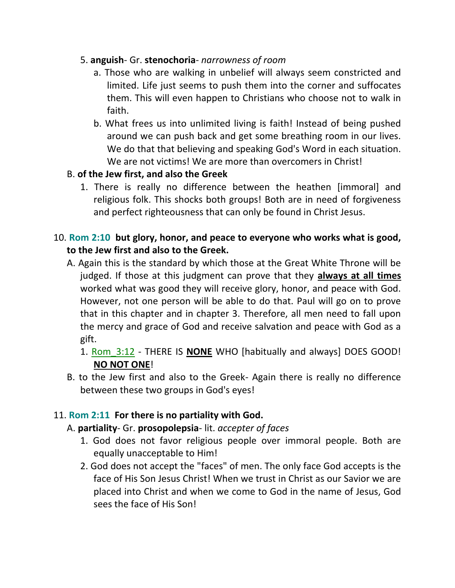### 5. **anguish**- Gr. **stenochoria**- *narrowness of room*

- a. Those who are walking in unbelief will always seem constricted and limited. Life just seems to push them into the corner and suffocates them. This will even happen to Christians who choose not to walk in faith.
- b. What frees us into unlimited living is faith! Instead of being pushed around we can push back and get some breathing room in our lives. We do that that believing and speaking God's Word in each situation. We are not victims! We are more than overcomers in Christ!

### B. **of the Jew first, and also the Greek**

1. There is really no difference between the heathen [immoral] and religious folk. This shocks both groups! Both are in need of forgiveness and perfect righteousness that can only be found in Christ Jesus.

### 10. **Rom 2:10 but glory, honor, and peace to everyone who works what is good, to the Jew first and also to the Greek.**

- A. Again this is the standard by which those at the Great White Throne will be judged. If those at this judgment can prove that they **always at all times** worked what was good they will receive glory, honor, and peace with God. However, not one person will be able to do that. Paul will go on to prove that in this chapter and in chapter 3. Therefore, all men need to fall upon the mercy and grace of God and receive salvation and peace with God as a gift.
	- 1. Rom\_3:12 THERE IS **NONE** WHO [habitually and always] DOES GOOD! **NO NOT ONE**!
- B. to the Jew first and also to the Greek- Again there is really no difference between these two groups in God's eyes!

#### 11. **Rom 2:11 For there is no partiality with God.**

#### A. **partiality**- Gr. **prosopolepsia**- lit. *accepter of faces*

- 1. God does not favor religious people over immoral people. Both are equally unacceptable to Him!
- 2. God does not accept the "faces" of men. The only face God accepts is the face of His Son Jesus Christ! When we trust in Christ as our Savior we are placed into Christ and when we come to God in the name of Jesus, God sees the face of His Son!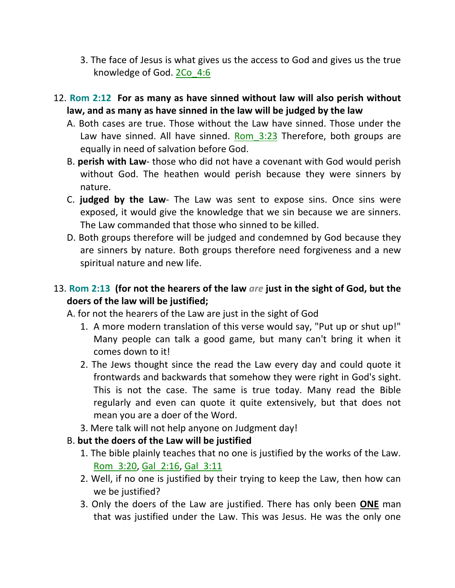- 3. The face of Jesus is what gives us the access to God and gives us the true knowledge of God. 2Co\_4:6
- 12. **Rom 2:12 For as many as have sinned without law will also perish without law, and as many as have sinned in the law will be judged by the law** 
	- A. Both cases are true. Those without the Law have sinned. Those under the Law have sinned. All have sinned. Rom  $3:23$  Therefore, both groups are equally in need of salvation before God.
	- B. **perish with Law** those who did not have a covenant with God would perish without God. The heathen would perish because they were sinners by nature.
	- C. **judged by the Law** The Law was sent to expose sins. Once sins were exposed, it would give the knowledge that we sin because we are sinners. The Law commanded that those who sinned to be killed.
	- D. Both groups therefore will be judged and condemned by God because they are sinners by nature. Both groups therefore need forgiveness and a new spiritual nature and new life.

### 13. **Rom 2:13 (for not the hearers of the law** *are* **just in the sight of God, but the doers of the law will be justified;**

A. for not the hearers of the Law are just in the sight of God

- 1. A more modern translation of this verse would say, "Put up or shut up!" Many people can talk a good game, but many can't bring it when it comes down to it!
- 2. The Jews thought since the read the Law every day and could quote it frontwards and backwards that somehow they were right in God's sight. This is not the case. The same is true today. Many read the Bible regularly and even can quote it quite extensively, but that does not mean you are a doer of the Word.
- 3. Mere talk will not help anyone on Judgment day!

#### B. **but the doers of the Law will be justified**

- 1. The bible plainly teaches that no one is justified by the works of the Law. Rom 3:20, Gal 2:16, Gal 3:11
- 2. Well, if no one is justified by their trying to keep the Law, then how can we be justified?
- 3. Only the doers of the Law are justified. There has only been **ONE** man that was justified under the Law. This was Jesus. He was the only one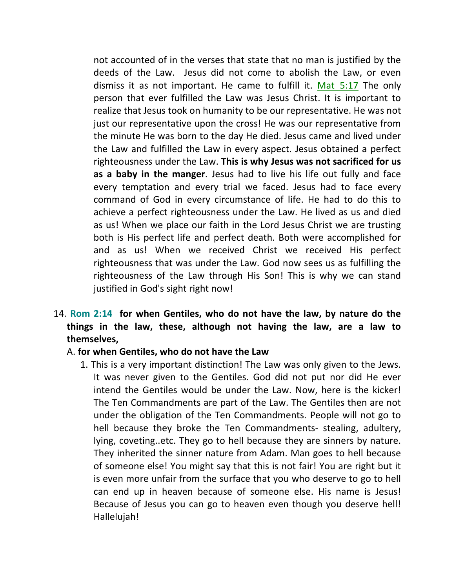not accounted of in the verses that state that no man is justified by the deeds of the Law. Jesus did not come to abolish the Law, or even dismiss it as not important. He came to fulfill it. Mat  $5:17$  The only person that ever fulfilled the Law was Jesus Christ. It is important to realize that Jesus took on humanity to be our representative. He was not just our representative upon the cross! He was our representative from the minute He was born to the day He died. Jesus came and lived under the Law and fulfilled the Law in every aspect. Jesus obtained a perfect righteousness under the Law. **This is why Jesus was not sacrificed for us as a baby in the manger**. Jesus had to live his life out fully and face every temptation and every trial we faced. Jesus had to face every command of God in every circumstance of life. He had to do this to achieve a perfect righteousness under the Law. He lived as us and died as us! When we place our faith in the Lord Jesus Christ we are trusting both is His perfect life and perfect death. Both were accomplished for and as us! When we received Christ we received His perfect righteousness that was under the Law. God now sees us as fulfilling the righteousness of the Law through His Son! This is why we can stand justified in God's sight right now!

### 14. **Rom 2:14 for when Gentiles, who do not have the law, by nature do the things in the law, these, although not having the law, are a law to themselves,**

#### A. **for when Gentiles, who do not have the Law**

1. This is a very important distinction! The Law was only given to the Jews. It was never given to the Gentiles. God did not put nor did He ever intend the Gentiles would be under the Law. Now, here is the kicker! The Ten Commandments are part of the Law. The Gentiles then are not under the obligation of the Ten Commandments. People will not go to hell because they broke the Ten Commandments- stealing, adultery, lying, coveting..etc. They go to hell because they are sinners by nature. They inherited the sinner nature from Adam. Man goes to hell because of someone else! You might say that this is not fair! You are right but it is even more unfair from the surface that you who deserve to go to hell can end up in heaven because of someone else. His name is Jesus! Because of Jesus you can go to heaven even though you deserve hell! Hallelujah!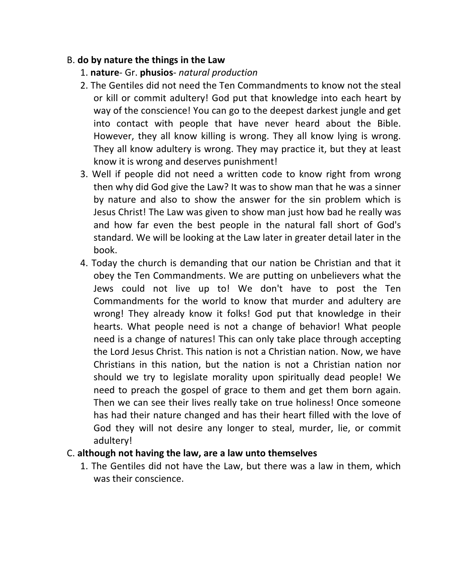#### B. **do by nature the things in the Law**

- 1. **nature** Gr. **phusios** *natural production*
- 2. The Gentiles did not need the Ten Commandments to know not the steal or kill or commit adultery! God put that knowledge into each heart by way of the conscience! You can go to the deepest darkest jungle and get into contact with people that have never heard about the Bible. However, they all know killing is wrong. They all know lying is wrong. They all know adultery is wrong. They may practice it, but they at least know it is wrong and deserves punishment!
- 3. Well if people did not need a written code to know right from wrong then why did God give the Law? It was to show man that he was a sinner by nature and also to show the answer for the sin problem which is Jesus Christ! The Law was given to show man just how bad he really was and how far even the best people in the natural fall short of God's standard. We will be looking at the Law later in greater detail later in the book.
- 4. Today the church is demanding that our nation be Christian and that it obey the Ten Commandments. We are putting on unbelievers what the Jews could not live up to! We don't have to post the Ten Commandments for the world to know that murder and adultery are wrong! They already know it folks! God put that knowledge in their hearts. What people need is not a change of behavior! What people need is a change of natures! This can only take place through accepting the Lord Jesus Christ. This nation is not a Christian nation. Now, we have Christians in this nation, but the nation is not a Christian nation nor should we try to legislate morality upon spiritually dead people! We need to preach the gospel of grace to them and get them born again. Then we can see their lives really take on true holiness! Once someone has had their nature changed and has their heart filled with the love of God they will not desire any longer to steal, murder, lie, or commit adultery!

### C. **although not having the law, are a law unto themselves**

1. The Gentiles did not have the Law, but there was a law in them, which was their conscience.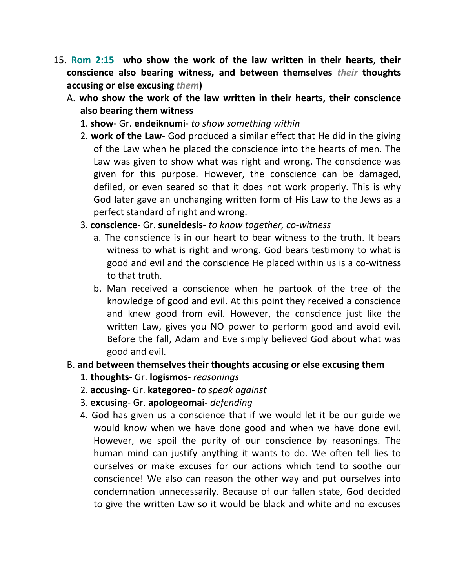- 15. **Rom 2:15 who show the work of the law written in their hearts, their conscience also bearing witness, and between themselves** *their* **thoughts accusing or else excusing** *them***)** 
	- A. **who show the work of the law written in their hearts, their conscience also bearing them witness**
		- 1. **show** Gr. **endeiknumi** *to show something within*
		- 2. **work of the Law** God produced a similar effect that He did in the giving of the Law when he placed the conscience into the hearts of men. The Law was given to show what was right and wrong. The conscience was given for this purpose. However, the conscience can be damaged, defiled, or even seared so that it does not work properly. This is why God later gave an unchanging written form of His Law to the Jews as a perfect standard of right and wrong.
		- 3. **conscience** Gr. **suneidesis** *to know together, co-witness*
			- a. The conscience is in our heart to bear witness to the truth. It bears witness to what is right and wrong. God bears testimony to what is good and evil and the conscience He placed within us is a co-witness to that truth.
			- b. Man received a conscience when he partook of the tree of the knowledge of good and evil. At this point they received a conscience and knew good from evil. However, the conscience just like the written Law, gives you NO power to perform good and avoid evil. Before the fall, Adam and Eve simply believed God about what was good and evil.

#### B. **and between themselves their thoughts accusing or else excusing them**

- 1. **thoughts** Gr. **logismos** *reasonings*
- 2. **accusing** Gr. **kategoreo** *to speak against*
- 3. **excusing** Gr. **apologeomai-** *defending*
- 4. God has given us a conscience that if we would let it be our guide we would know when we have done good and when we have done evil. However, we spoil the purity of our conscience by reasonings. The human mind can justify anything it wants to do. We often tell lies to ourselves or make excuses for our actions which tend to soothe our conscience! We also can reason the other way and put ourselves into condemnation unnecessarily. Because of our fallen state, God decided to give the written Law so it would be black and white and no excuses